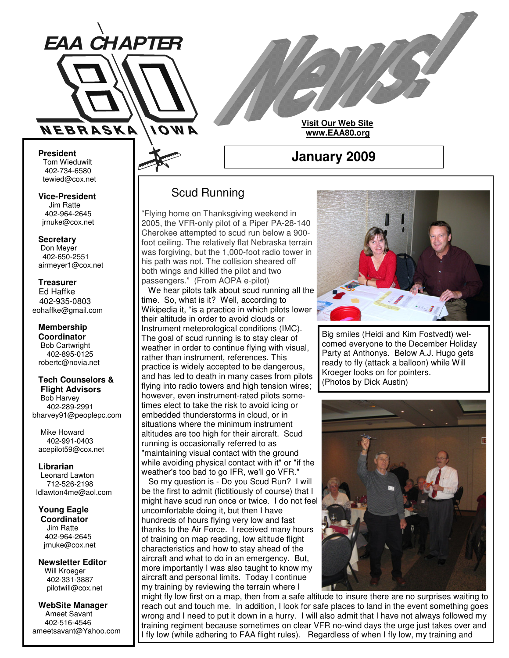

**Visit Our Web Site www.EAA80.org**

**January 2009**

#### **President** Tom Wieduwilt 402-734-6580 tewied@cox.net

**Vice-President** Jim Ratte 402-964-2645 jrnuke@cox.net

# **Secretary**

Don Meyer 402-650-2551 airmeyer1@cox.net

#### **Treasurer** Ed Haffke 402-935-0803 eohaffke@gmail.com

**Membership Coordinator** Bob Cartwright 402-895-0125 robertc@novia.net

#### **Tech Counselors & Flight Advisors**

Bob Harvey 402-289-2991 bharvey91@peoplepc.com

Mike Howard 402-991-0403 acepilot59@cox.net

**Librarian** Leonard Lawton 712-526-2198 ldlawton4me@aol.com

**Young Eagle Coordinator** Jim Ratte 402-964-2645 jrnuke@cox.net

**Newsletter Editor** Will Kroeger 402-331-3887 pilotwill@cox.net

**WebSite Manager** Ameet Savant 402-516-4546 ameetsavant@Yahoo.com

# Scud Running

"Flying home on Thanksgiving weekend in 2005, the VFR-only pilot of a Piper PA-28-140 Cherokee attempted to scud run below a 900 foot ceiling. The relatively flat Nebraska terrain was forgiving, but the 1,000-foot radio tower in his path was not. The collision sheared off both wings and killed the pilot and two passengers." (From AOPA e-pilot)

We hear pilots talk about scud running all the time. So, what is it? Well, according to Wikipedia it, "is a practice in which pilots lower their altitude in order to avoid clouds or Instrument meteorological conditions (IMC). The goal of scud running is to stay clear of weather in order to continue flying with visual, rather than instrument, references. This practice is widely accepted to be dangerous, and has led to death in many cases from pilots flying into radio towers and high tension wires; however, even instrument-rated pilots sometimes elect to take the risk to avoid icing or embedded thunderstorms in cloud, or in situations where the minimum instrument altitudes are too high for their aircraft. Scud running is occasionally referred to as "maintaining visual contact with the ground while avoiding physical contact with it" or "if the weather's too bad to go IFR, we'll go VFR." So my question is - Do you Scud Run? I will be the first to admit (fictitiously of course) that I might have scud run once or twice. I do not feel uncomfortable doing it, but then I have hundreds of hours flying very low and fast thanks to the Air Force. I received many hours of training on map reading, low altitude flight characteristics and how to stay ahead of the aircraft and what to do in an emergency. But, more importantly I was also taught to know my aircraft and personal limits. Today I continue my training by reviewing the terrain where I



Big smiles (Heidi and Kim Fostvedt) welcomed everyone to the December Holiday Party at Anthonys. Below A.J. Hugo gets ready to fly (attack a balloon) while Will Kroeger looks on for pointers. (Photos by Dick Austin)



might fly low first on a map, then from a safe altitude to insure there are no surprises waiting to reach out and touch me. In addition, I look for safe places to land in the event something goes wrong and I need to put it down in a hurry. I will also admit that I have not always followed my training regiment because sometimes on clear VFR no-wind days the urge just takes over and I fly low (while adhering to FAA flight rules). Regardless of when I fly low, my training and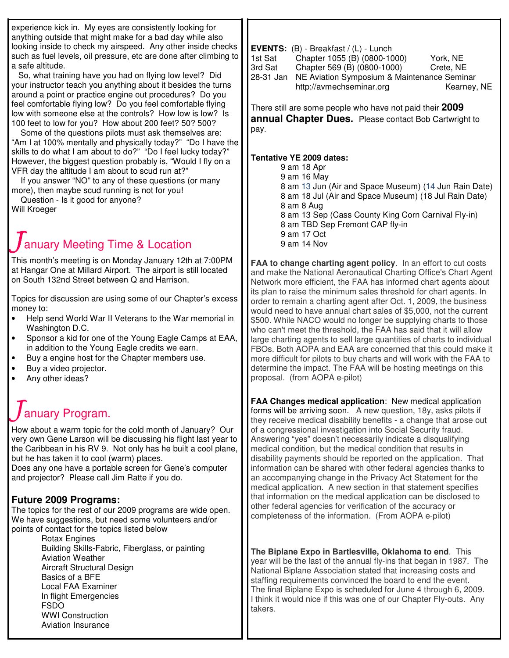| experience kick in. My eyes are consistently looking for<br>anything outside that might make for a bad day while also<br>looking inside to check my airspeed. Any other inside checks<br>such as fuel levels, oil pressure, etc are done after climbing to<br>a safe altitude.<br>So, what training have you had on flying low level? Did<br>your instructor teach you anything about it besides the turns<br>around a point or practice engine out procedures? Do you<br>feel comfortable flying low? Do you feel comfortable flying<br>low with someone else at the controls? How low is low? Is<br>100 feet to low for you? How about 200 feet? 50? 500?<br>Some of the questions pilots must ask themselves are:<br>"Am I at 100% mentally and physically today?" "Do I have the<br>skills to do what I am about to do?" "Do I feel lucky today?"<br>However, the biggest question probably is, "Would I fly on a<br>VFR day the altitude I am about to scud run at?"<br>If you answer "NO" to any of these questions (or many<br>more), then maybe scud running is not for you!<br>Question - Is it good for anyone?<br>Will Kroeger<br>January Meeting Time & Location<br>This month's meeting is on Monday January 12th at 7:00PM<br>at Hangar One at Millard Airport. The airport is still located | EVENTS: (B) - Breakfast / (L) - Lunch<br>1st Sat<br>Chapter 1055 (B) (0800-1000)<br>York, NE<br>3rd Sat<br>Chapter 569 (B) (0800-1000)<br>Crete, NE<br>28-31 Jan<br>NE Aviation Symposium & Maintenance Seminar<br>http://avmechseminar.org<br>Kearney, NE<br>There still are some people who have not paid their 2009<br><b>annual Chapter Dues.</b> Please contact Bob Cartwright to<br>pay.<br>Tentative YE 2009 dates:<br>9 am 18 Apr<br>9 am 16 May<br>8 am 13 Jun (Air and Space Museum) (14 Jun Rain Date)<br>8 am 18 Jul (Air and Space Museum) (18 Jul Rain Date)<br>8 am 8 Aug<br>8 am 13 Sep (Cass County King Corn Carnival Fly-in)<br>8 am TBD Sep Fremont CAP fly-in<br>9 am 17 Oct<br>9 am 14 Nov<br>FAA to change charting agent policy. In an effort to cut costs<br>and make the National Aeronautical Charting Office's Chart Agent             |
|------------------------------------------------------------------------------------------------------------------------------------------------------------------------------------------------------------------------------------------------------------------------------------------------------------------------------------------------------------------------------------------------------------------------------------------------------------------------------------------------------------------------------------------------------------------------------------------------------------------------------------------------------------------------------------------------------------------------------------------------------------------------------------------------------------------------------------------------------------------------------------------------------------------------------------------------------------------------------------------------------------------------------------------------------------------------------------------------------------------------------------------------------------------------------------------------------------------------------------------------------------------------------------------------------------|--------------------------------------------------------------------------------------------------------------------------------------------------------------------------------------------------------------------------------------------------------------------------------------------------------------------------------------------------------------------------------------------------------------------------------------------------------------------------------------------------------------------------------------------------------------------------------------------------------------------------------------------------------------------------------------------------------------------------------------------------------------------------------------------------------------------------------------------------------------------|
| on South 132nd Street between Q and Harrison.<br>Topics for discussion are using some of our Chapter's excess<br>money to:<br>Help send World War II Veterans to the War memorial in<br>$\bullet$<br>Washington D.C.<br>l.<br>Sponsor a kid for one of the Young Eagle Camps at EAA,<br>in addition to the Young Eagle credits we earn.<br>Buy a engine host for the Chapter members use.<br>$\bullet$<br>Buy a video projector.<br>$\bullet$<br>Any other ideas?<br>l .                                                                                                                                                                                                                                                                                                                                                                                                                                                                                                                                                                                                                                                                                                                                                                                                                                   | Network more efficient, the FAA has informed chart agents about<br>its plan to raise the minimum sales threshold for chart agents. In<br>order to remain a charting agent after Oct. 1, 2009, the business<br>would need to have annual chart sales of \$5,000, not the current<br>\$500. While NACO would no longer be supplying charts to those<br>who can't meet the threshold, the FAA has said that it will allow<br>large charting agents to sell large quantities of charts to individual<br>FBOs. Both AOPA and EAA are concerned that this could make it<br>more difficult for pilots to buy charts and will work with the FAA to<br>determine the impact. The FAA will be hosting meetings on this<br>proposal. (from AOPA e-pilot)                                                                                                                      |
| anuary Program.<br>How about a warm topic for the cold month of January? Our<br>very own Gene Larson will be discussing his flight last year to<br>the Caribbean in his RV 9. Not only has he built a cool plane,<br>but he has taken it to cool (warm) places.<br>Does any one have a portable screen for Gene's computer<br>and projector? Please call Jim Ratte if you do.<br><b>Future 2009 Programs:</b><br>The topics for the rest of our 2009 programs are wide open.<br>We have suggestions, but need some volunteers and/or<br>points of contact for the topics listed below<br><b>Rotax Engines</b>                                                                                                                                                                                                                                                                                                                                                                                                                                                                                                                                                                                                                                                                                              | FAA Changes medical application: New medical application<br>forms will be arriving soon. A new question, 18y, asks pilots if<br>they receive medical disability benefits - a change that arose out<br>of a congressional investigation into Social Security fraud.<br>Answering "yes" doesn't necessarily indicate a disqualifying<br>medical condition, but the medical condition that results in<br>disability payments should be reported on the application. That<br>information can be shared with other federal agencies thanks to<br>an accompanying change in the Privacy Act Statement for the<br>medical application. A new section in that statement specifies<br>that information on the medical application can be disclosed to<br>other federal agencies for verification of the accuracy or<br>completeness of the information. (From AOPA e-pilot) |
| Building Skills-Fabric, Fiberglass, or painting<br><b>Aviation Weather</b><br>Aircraft Structural Design<br>Basics of a BFE<br>Local FAA Examiner<br>In flight Emergencies<br><b>FSDO</b><br><b>WWI Construction</b><br>Aviation Insurance                                                                                                                                                                                                                                                                                                                                                                                                                                                                                                                                                                                                                                                                                                                                                                                                                                                                                                                                                                                                                                                                 | The Biplane Expo in Bartlesville, Oklahoma to end. This<br>year will be the last of the annual fly-ins that began in 1987. The<br>National Biplane Association stated that increasing costs and<br>staffing requirements convinced the board to end the event.<br>The final Biplane Expo is scheduled for June 4 through 6, 2009.<br>I think it would nice if this was one of our Chapter Fly-outs. Any<br>takers.                                                                                                                                                                                                                                                                                                                                                                                                                                                 |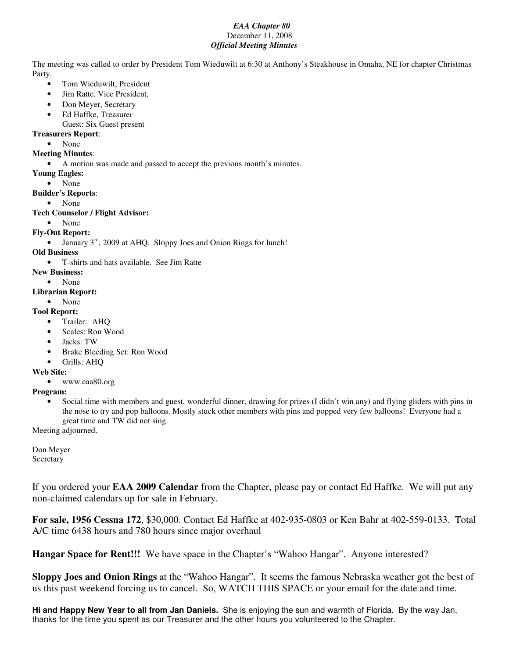## *EAA Chapter 80* December 11, 2008 *Official Meeting Minutes*

The meeting was called to order by President Tom Wieduwilt at 6:30 at Anthony's Steakhouse in Omaha, NE for chapter Christmas Party.

- Tom Wieduwilt, President
- Jim Ratte, Vice President,
- Don Meyer, Secretary
- Ed Haffke, Treasurer
- Guest: Six Guest present

## **Treasurers Report**:

• None

#### **Meeting Minutes**:

• A motion was made and passed to accept the previous month's minutes.

- **Young Eagles:**
	- None

**Builder's Reports**:

• None

## **Tech Counselor / Flight Advisor:**

• None

## **Fly-Out Report:**

• January  $3<sup>rd</sup>$ , 2009 at AHQ. Sloppy Joes and Onion Rings for lunch!

# **Old Business**

- T-shirts and hats available. See Jim Ratte
- **New Business:**
	- None

# **Librarian Report:**

• None

# **Tool Report:**

- Trailer: AHQ
- Scales: Ron Wood
- Jacks: TW
- Brake Bleeding Set: Ron Wood
- Grills: AHQ

#### **Web Site:**

• www.eaa80.org

#### **Program:**

• Social time with members and guest, wonderful dinner, drawing for prizes (I didn't win any) and flying gliders with pins in the nose to try and pop balloons. Mostly stuck other members with pins and popped very few balloons! Everyone had a great time and TW did not sing.

Meeting adjourned.

Don Meyer **Secretary** 

If you ordered your **EAA 2009 Calendar** from the Chapter, please pay or contact Ed Haffke. We will put any non-claimed calendars up for sale in February.

**For sale, 1956 Cessna 172**, \$30,000. Contact Ed Haffke at 402-935-0803 or Ken Bahr at 402-559-0133. Total A/C time 6438 hours and 780 hours since major overhaul

**Hangar Space for Rent!!!** We have space in the Chapter's "Wahoo Hangar". Anyone interested?

**Sloppy Joes and Onion Rings** at the "Wahoo Hangar". It seems the famous Nebraska weather got the best of us this past weekend forcing us to cancel. So, WATCH THIS SPACE or your email for the date and time.

**Hi and Happy New Year to all from Jan Daniels.** She is enjoying the sun and warmth of Florida. By the way Jan, thanks for the time you spent as our Treasurer and the other hours you volunteered to the Chapter.